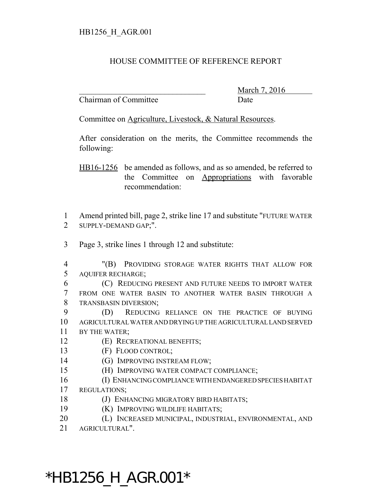## HOUSE COMMITTEE OF REFERENCE REPORT

Chairman of Committee Date

\_\_\_\_\_\_\_\_\_\_\_\_\_\_\_\_\_\_\_\_\_\_\_\_\_\_\_\_\_\_\_ March 7, 2016

Committee on Agriculture, Livestock, & Natural Resources.

After consideration on the merits, the Committee recommends the following:

HB16-1256 be amended as follows, and as so amended, be referred to the Committee on Appropriations with favorable recommendation:

 Amend printed bill, page 2, strike line 17 and substitute "FUTURE WATER SUPPLY-DEMAND GAP;".

Page 3, strike lines 1 through 12 and substitute:

 "(B) PROVIDING STORAGE WATER RIGHTS THAT ALLOW FOR AQUIFER RECHARGE;

- (C) REDUCING PRESENT AND FUTURE NEEDS TO IMPORT WATER FROM ONE WATER BASIN TO ANOTHER WATER BASIN THROUGH A TRANSBASIN DIVERSION;
- (D) REDUCING RELIANCE ON THE PRACTICE OF BUYING AGRICULTURAL WATER AND DRYING UP THE AGRICULTURAL LAND SERVED BY THE WATER;
- (E) RECREATIONAL BENEFITS;
- (F) FLOOD CONTROL;
- 14 (G) IMPROVING INSTREAM FLOW;
- (H) IMPROVING WATER COMPACT COMPLIANCE;
- (I) ENHANCING COMPLIANCE WITH ENDANGERED SPECIES HABITAT
- REGULATIONS;
- (J) ENHANCING MIGRATORY BIRD HABITATS;
- (K) IMPROVING WILDLIFE HABITATS;
- (L) INCREASED MUNICIPAL, INDUSTRIAL, ENVIRONMENTAL, AND
- AGRICULTURAL".

\*HB1256\_H\_AGR.001\*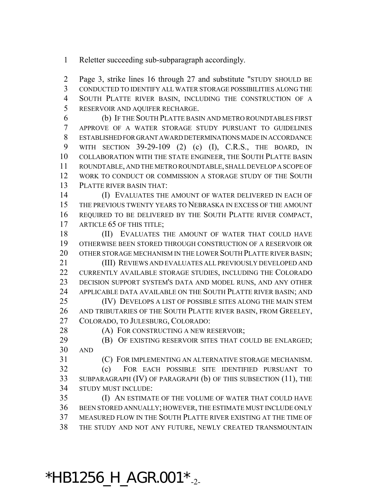Reletter succeeding sub-subparagraph accordingly.

 Page 3, strike lines 16 through 27 and substitute "STUDY SHOULD BE CONDUCTED TO IDENTIFY ALL WATER STORAGE POSSIBILITIES ALONG THE SOUTH PLATTE RIVER BASIN, INCLUDING THE CONSTRUCTION OF A RESERVOIR AND AQUIFER RECHARGE.

 (b) IF THE SOUTH PLATTE BASIN AND METRO ROUNDTABLES FIRST APPROVE OF A WATER STORAGE STUDY PURSUANT TO GUIDELINES ESTABLISHED FOR GRANT AWARD DETERMINATIONS MADE IN ACCORDANCE WITH SECTION 39-29-109 (2) (c) (I), C.R.S., THE BOARD, IN COLLABORATION WITH THE STATE ENGINEER, THE SOUTH PLATTE BASIN ROUNDTABLE, AND THE METRO ROUNDTABLE, SHALL DEVELOP A SCOPE OF WORK TO CONDUCT OR COMMISSION A STORAGE STUDY OF THE SOUTH PLATTE RIVER BASIN THAT:

 (I) EVALUATES THE AMOUNT OF WATER DELIVERED IN EACH OF THE PREVIOUS TWENTY YEARS TO NEBRASKA IN EXCESS OF THE AMOUNT REQUIRED TO BE DELIVERED BY THE SOUTH PLATTE RIVER COMPACT, 17 ARTICLE 65 OF THIS TITLE;

18 (II) EVALUATES THE AMOUNT OF WATER THAT COULD HAVE OTHERWISE BEEN STORED THROUGH CONSTRUCTION OF A RESERVOIR OR 20 OTHER STORAGE MECHANISM IN THE LOWER SOUTH PLATTE RIVER BASIN;

 (III) REVIEWS AND EVALUATES ALL PREVIOUSLY DEVELOPED AND CURRENTLY AVAILABLE STORAGE STUDIES, INCLUDING THE COLORADO DECISION SUPPORT SYSTEM'S DATA AND MODEL RUNS, AND ANY OTHER APPLICABLE DATA AVAILABLE ON THE SOUTH PLATTE RIVER BASIN; AND

 (IV) DEVELOPS A LIST OF POSSIBLE SITES ALONG THE MAIN STEM AND TRIBUTARIES OF THE SOUTH PLATTE RIVER BASIN, FROM GREELEY, COLORADO, TO JULESBURG, COLORADO:

28 (A) FOR CONSTRUCTING A NEW RESERVOIR;

**(B)** OF EXISTING RESERVOIR SITES THAT COULD BE ENLARGED; AND

(C) FOR IMPLEMENTING AN ALTERNATIVE STORAGE MECHANISM.

 (c) FOR EACH POSSIBLE SITE IDENTIFIED PURSUANT TO SUBPARAGRAPH (IV) OF PARAGRAPH (b) OF THIS SUBSECTION (11), THE STUDY MUST INCLUDE:

 (I) AN ESTIMATE OF THE VOLUME OF WATER THAT COULD HAVE BEEN STORED ANNUALLY; HOWEVER, THE ESTIMATE MUST INCLUDE ONLY MEASURED FLOW IN THE SOUTH PLATTE RIVER EXISTING AT THE TIME OF THE STUDY AND NOT ANY FUTURE, NEWLY CREATED TRANSMOUNTAIN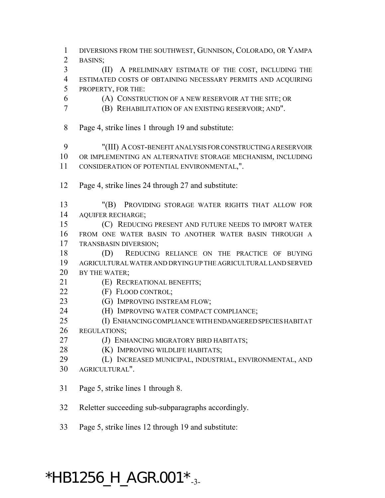DIVERSIONS FROM THE SOUTHWEST, GUNNISON, COLORADO, OR YAMPA BASINS; (II) A PRELIMINARY ESTIMATE OF THE COST, INCLUDING THE ESTIMATED COSTS OF OBTAINING NECESSARY PERMITS AND ACQUIRING PROPERTY, FOR THE: (A) CONSTRUCTION OF A NEW RESERVOIR AT THE SITE; OR (B) REHABILITATION OF AN EXISTING RESERVOIR; AND". Page 4, strike lines 1 through 19 and substitute: "(III) A COST-BENEFIT ANALYSIS FOR CONSTRUCTING A RESERVOIR OR IMPLEMENTING AN ALTERNATIVE STORAGE MECHANISM, INCLUDING CONSIDERATION OF POTENTIAL ENVIRONMENTAL,". Page 4, strike lines 24 through 27 and substitute: "(B) PROVIDING STORAGE WATER RIGHTS THAT ALLOW FOR AQUIFER RECHARGE; (C) REDUCING PRESENT AND FUTURE NEEDS TO IMPORT WATER FROM ONE WATER BASIN TO ANOTHER WATER BASIN THROUGH A TRANSBASIN DIVERSION; 18 (D) REDUCING RELIANCE ON THE PRACTICE OF BUYING AGRICULTURAL WATER AND DRYING UP THE AGRICULTURAL LAND SERVED BY THE WATER; (E) RECREATIONAL BENEFITS; (F) FLOOD CONTROL; 23 (G) IMPROVING INSTREAM FLOW; (H) IMPROVING WATER COMPACT COMPLIANCE; (I) ENHANCING COMPLIANCE WITH ENDANGERED SPECIES HABITAT REGULATIONS; **(J) ENHANCING MIGRATORY BIRD HABITATS; (K) IMPROVING WILDLIFE HABITATS;**  (L) INCREASED MUNICIPAL, INDUSTRIAL, ENVIRONMENTAL, AND AGRICULTURAL". Page 5, strike lines 1 through 8. Reletter succeeding sub-subparagraphs accordingly.

Page 5, strike lines 12 through 19 and substitute:

## $*$ HB1256\_H\_AGR.001 $*_{-3}$